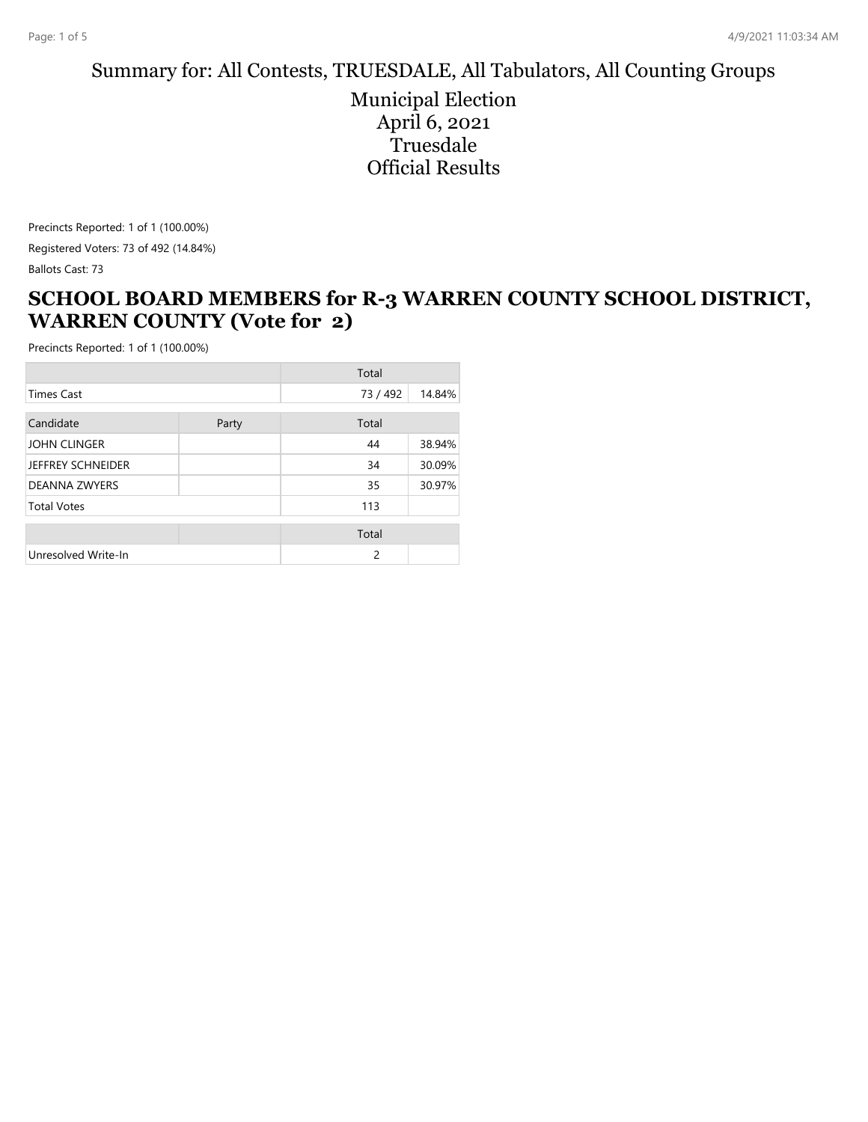#### Summary for: All Contests, TRUESDALE, All Tabulators, All Counting Groups

Municipal Election April 6, 2021 **Truesdale** Official Results

Precincts Reported: 1 of 1 (100.00%) Registered Voters: 73 of 492 (14.84%) Ballots Cast: 73

#### **SCHOOL BOARD MEMBERS for R-3 WARREN COUNTY SCHOOL DISTRICT, WARREN COUNTY (Vote for 2)**

|                          |       | Total         |        |
|--------------------------|-------|---------------|--------|
| <b>Times Cast</b>        |       | 73 / 492      | 14.84% |
| Candidate                | Party | Total         |        |
| <b>JOHN CLINGER</b>      |       | 44            | 38.94% |
| <b>JEFFREY SCHNEIDER</b> |       | 34            | 30.09% |
| <b>DEANNA ZWYERS</b>     |       | 35            | 30.97% |
| <b>Total Votes</b>       |       | 113           |        |
|                          |       | Total         |        |
| Unresolved Write-In      |       | $\mathcal{P}$ |        |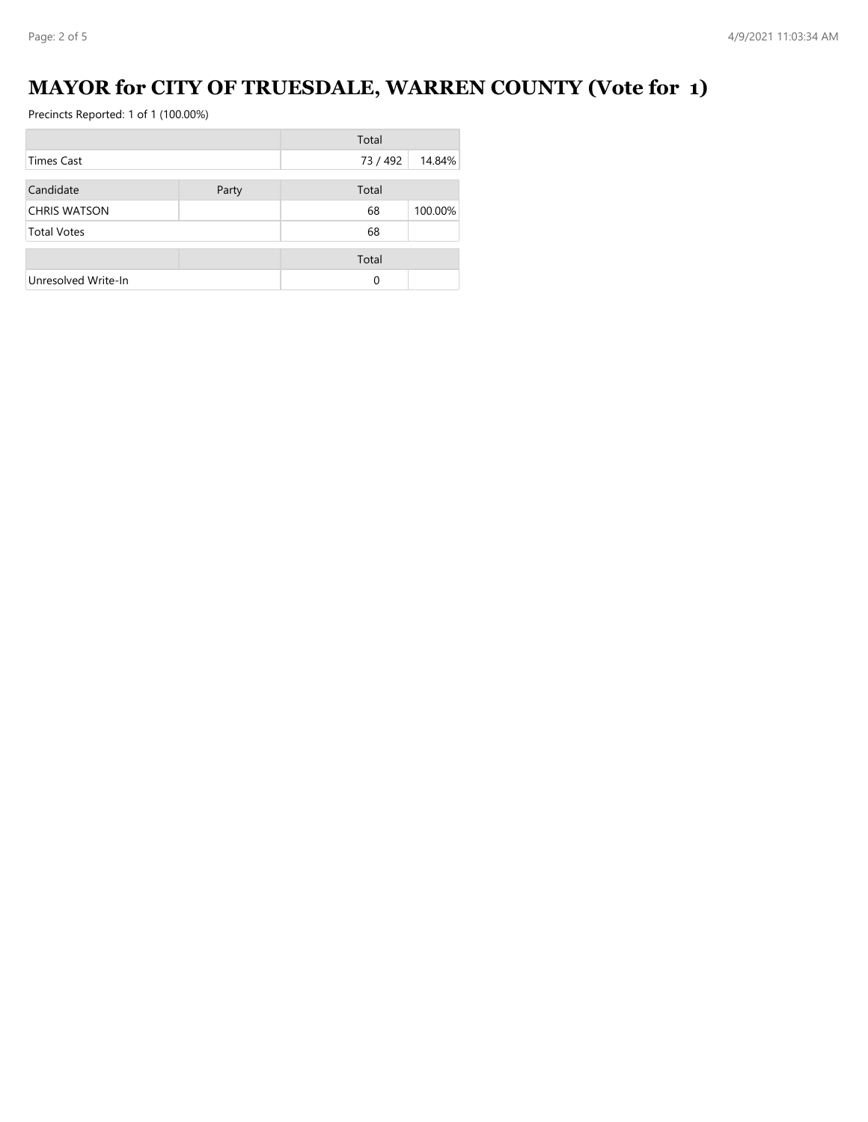# **MAYOR for CITY OF TRUESDALE, WARREN COUNTY (Vote for 1)**

|                     |       | Total    |         |
|---------------------|-------|----------|---------|
| <b>Times Cast</b>   |       | 73 / 492 | 14.84%  |
| Candidate           | Party | Total    |         |
| <b>CHRIS WATSON</b> |       | 68       | 100.00% |
| <b>Total Votes</b>  |       | 68       |         |
|                     |       | Total    |         |
| Unresolved Write-In |       | 0        |         |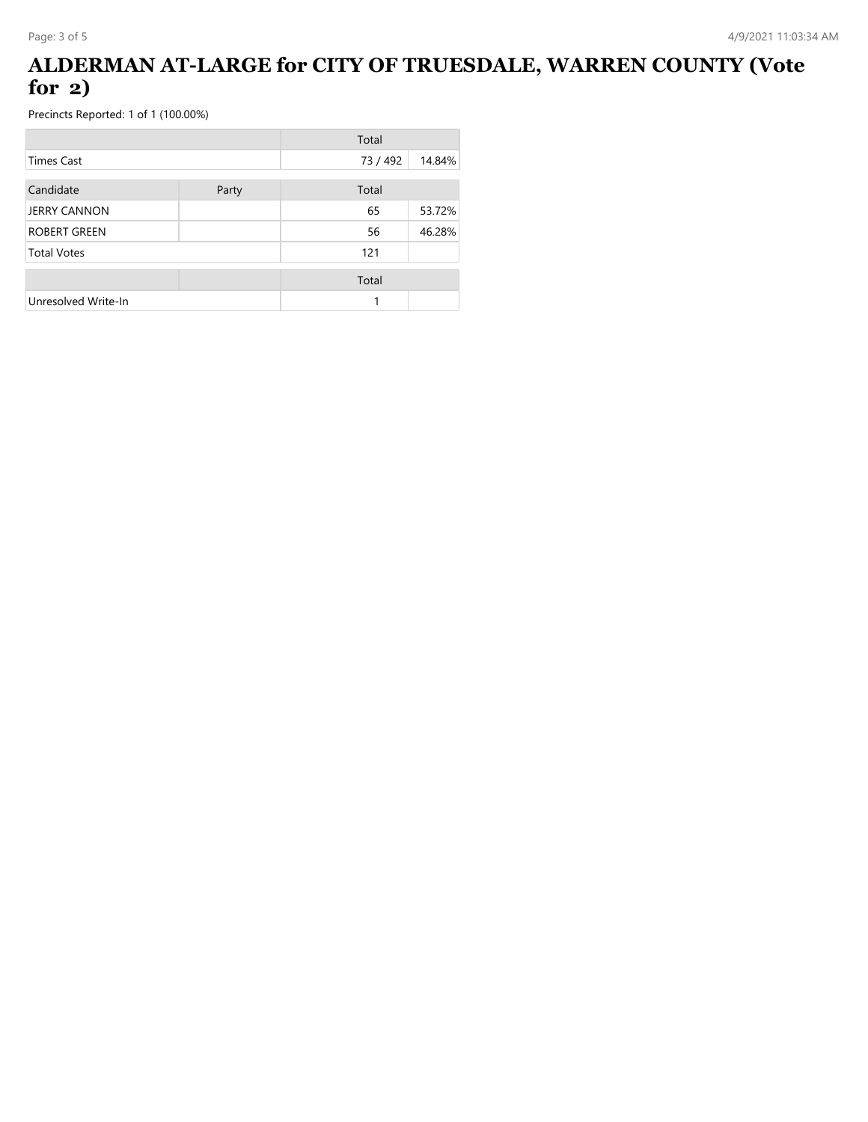## **ALDERMAN AT-LARGE for CITY OF TRUESDALE, WARREN COUNTY (Vote for 2)**

|                     |       | Total    |        |
|---------------------|-------|----------|--------|
| Times Cast          |       | 73 / 492 | 14.84% |
| Candidate           | Party | Total    |        |
| <b>JERRY CANNON</b> |       | 65       | 53.72% |
| <b>ROBERT GREEN</b> |       | 56       | 46.28% |
| <b>Total Votes</b>  |       | 121      |        |
|                     |       | Total    |        |
| Unresolved Write-In |       |          |        |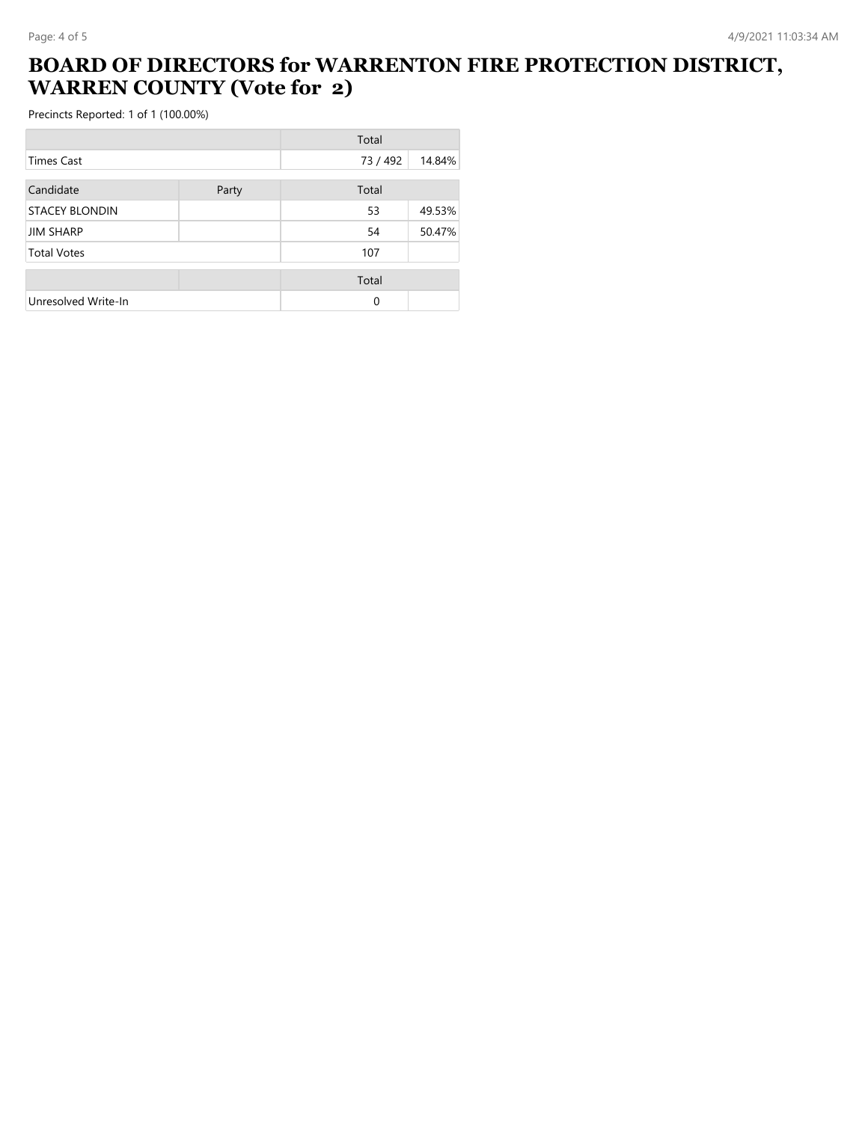## **BOARD OF DIRECTORS for WARRENTON FIRE PROTECTION DISTRICT, WARREN COUNTY (Vote for 2)**

|                       |       | Total    |        |
|-----------------------|-------|----------|--------|
| Times Cast            |       | 73 / 492 | 14.84% |
| Candidate             | Party | Total    |        |
| <b>STACEY BLONDIN</b> |       | 53       | 49.53% |
| <b>JIM SHARP</b>      |       | 54       | 50.47% |
| <b>Total Votes</b>    |       | 107      |        |
|                       |       | Total    |        |
| Unresolved Write-In   |       | 0        |        |